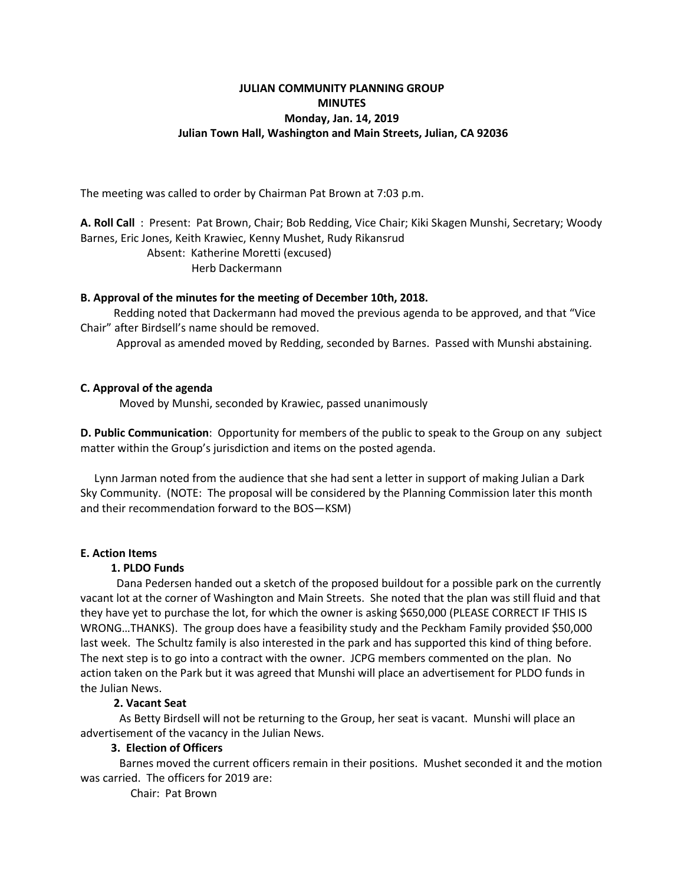# **JULIAN COMMUNITY PLANNING GROUP MINUTES Monday, Jan. 14, 2019 Julian Town Hall, Washington and Main Streets, Julian, CA 92036**

The meeting was called to order by Chairman Pat Brown at 7:03 p.m.

**A. Roll Call** : Present: Pat Brown, Chair; Bob Redding, Vice Chair; Kiki Skagen Munshi, Secretary; Woody Barnes, Eric Jones, Keith Krawiec, Kenny Mushet, Rudy Rikansrud Absent: Katherine Moretti (excused) Herb Dackermann

#### **B. Approval of the minutes for the meeting of December 10th, 2018.**

 Redding noted that Dackermann had moved the previous agenda to be approved, and that "Vice Chair" after Birdsell's name should be removed.

Approval as amended moved by Redding, seconded by Barnes. Passed with Munshi abstaining.

#### **C. Approval of the agenda**

Moved by Munshi, seconded by Krawiec, passed unanimously

**D. Public Communication**: Opportunity for members of the public to speak to the Group on any subject matter within the Group's jurisdiction and items on the posted agenda.

 Lynn Jarman noted from the audience that she had sent a letter in support of making Julian a Dark Sky Community. (NOTE: The proposal will be considered by the Planning Commission later this month and their recommendation forward to the BOS—KSM)

### **E. Action Items**

#### **1. PLDO Funds**

 Dana Pedersen handed out a sketch of the proposed buildout for a possible park on the currently vacant lot at the corner of Washington and Main Streets. She noted that the plan was still fluid and that they have yet to purchase the lot, for which the owner is asking \$650,000 (PLEASE CORRECT IF THIS IS WRONG…THANKS). The group does have a feasibility study and the Peckham Family provided \$50,000 last week. The Schultz family is also interested in the park and has supported this kind of thing before. The next step is to go into a contract with the owner. JCPG members commented on the plan. No action taken on the Park but it was agreed that Munshi will place an advertisement for PLDO funds in the Julian News.

### **2. Vacant Seat**

As Betty Birdsell will not be returning to the Group, her seat is vacant. Munshi will place an advertisement of the vacancy in the Julian News.

#### **3. Election of Officers**

 Barnes moved the current officers remain in their positions. Mushet seconded it and the motion was carried. The officers for 2019 are:

Chair: Pat Brown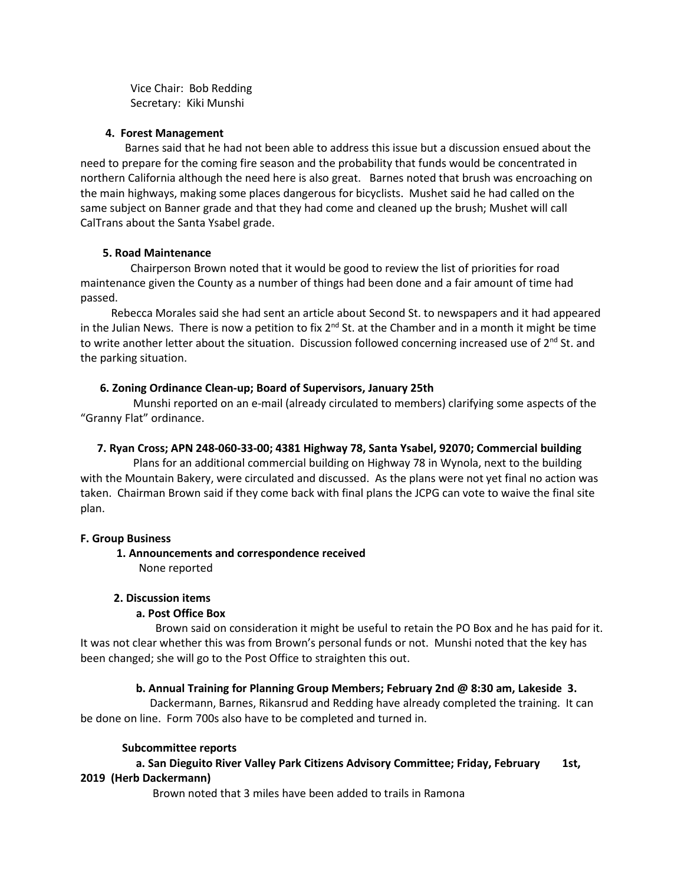Vice Chair: Bob Redding Secretary: Kiki Munshi

#### **4. Forest Management**

 Barnes said that he had not been able to address this issue but a discussion ensued about the need to prepare for the coming fire season and the probability that funds would be concentrated in northern California although the need here is also great. Barnes noted that brush was encroaching on the main highways, making some places dangerous for bicyclists. Mushet said he had called on the same subject on Banner grade and that they had come and cleaned up the brush; Mushet will call CalTrans about the Santa Ysabel grade.

#### **5. Road Maintenance**

Chairperson Brown noted that it would be good to review the list of priorities for road maintenance given the County as a number of things had been done and a fair amount of time had passed.

 Rebecca Morales said she had sent an article about Second St. to newspapers and it had appeared in the Julian News. There is now a petition to fix  $2^{nd}$  St. at the Chamber and in a month it might be time to write another letter about the situation. Discussion followed concerning increased use of  $2^{nd}$  St. and the parking situation.

#### **6. Zoning Ordinance Clean-up; Board of Supervisors, January 25th**

Munshi reported on an e-mail (already circulated to members) clarifying some aspects of the "Granny Flat" ordinance.

### **7. Ryan Cross; APN 248-060-33-00; 4381 Highway 78, Santa Ysabel, 92070; Commercial building**

Plans for an additional commercial building on Highway 78 in Wynola, next to the building with the Mountain Bakery, were circulated and discussed. As the plans were not yet final no action was taken. Chairman Brown said if they come back with final plans the JCPG can vote to waive the final site plan.

#### **F. Group Business**

### **1. Announcements and correspondence received**

None reported

### **2. Discussion items**

### **a. Post Office Box**

Brown said on consideration it might be useful to retain the PO Box and he has paid for it. It was not clear whether this was from Brown's personal funds or not. Munshi noted that the key has been changed; she will go to the Post Office to straighten this out.

### **b. Annual Training for Planning Group Members; February 2nd @ 8:30 am, Lakeside 3.**

Dackermann, Barnes, Rikansrud and Redding have already completed the training. It can be done on line. Form 700s also have to be completed and turned in.

#### **Subcommittee reports**

## **a. San Dieguito River Valley Park Citizens Advisory Committee; Friday, February 1st, 2019 (Herb Dackermann)**

Brown noted that 3 miles have been added to trails in Ramona